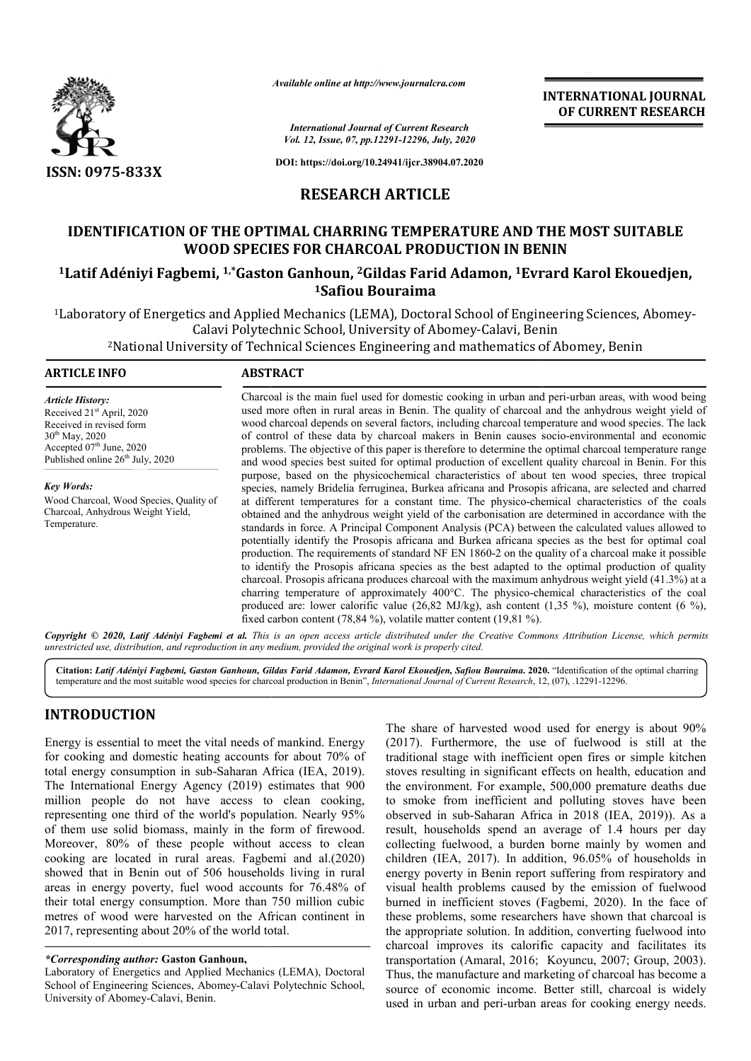

*Available online at http://www.journalcra.com*

**INTERNATIONAL JOURNAL OF CURRENT RESEARCH**

*International Journal of Current Research Vol. 12, Issue, 07, pp.12291-12296, July, 2020*

**DOI: https://doi.org/10.24941/ijcr.38904.07.2020**

## **RESEARCH ARTICLE**

# **IDENTIFICATION OF THE OPTIMAL CHARRING TEMPERATURE AND THE MOST SUITABLE WOOD SPECIES FOR CHARCOAL PRODUCTION IN BENIN** IDENTIFICATION OF THE OPTIMAL CHARRING TEMPERATURE AND THE MOST SUITABLE<br>WOOD SPECIES FOR CHARCOAL PRODUCTION IN BENIN<br><sup>1</sup>Latif Adéniyi Fagbemi, <sup>1,\*</sup>Gaston Ganhoun, <sup>2</sup>Gildas Farid Adamon, <sup>1</sup>Evrard Karol Ekouedjen,

**1Safiou Bouraima**

1Laboratory of Energetics and Applied Mechanics (LEMA), Doctoral School of Engineering Sciences, Abomey Laboratory Abomey-Calavi, Benin Abomey-Calavi Polytechnic School, University of Abomey Calavi, Technical

2National University of Technical Sciences Engineering and mathematics of Abomey, Benin

| <b>ARTICLE INFO</b>                                                                                                                                                                                                                                                                                      | <b>ABSTRACT</b>                                                                                                                                                                                                                                                                                                                                                                                                                                                                                                                                                                                                                                                                                                                                                                                                                                                                                                                                                                                                                                                                                                                                                                                                                   |
|----------------------------------------------------------------------------------------------------------------------------------------------------------------------------------------------------------------------------------------------------------------------------------------------------------|-----------------------------------------------------------------------------------------------------------------------------------------------------------------------------------------------------------------------------------------------------------------------------------------------------------------------------------------------------------------------------------------------------------------------------------------------------------------------------------------------------------------------------------------------------------------------------------------------------------------------------------------------------------------------------------------------------------------------------------------------------------------------------------------------------------------------------------------------------------------------------------------------------------------------------------------------------------------------------------------------------------------------------------------------------------------------------------------------------------------------------------------------------------------------------------------------------------------------------------|
| Article History:<br>Received 21 <sup>st</sup> April, 2020<br>Received in revised form<br>$30^{th}$ May, 2020<br>Accepted $07th$ June, 2020<br>Published online 26 <sup>th</sup> July, 2020<br>Key Words:<br>Wood Charcoal, Wood Species, Quality of<br>Charcoal, Anhydrous Weight Yield,<br>Temperature. | Charcoal is the main fuel used for domestic cooking in urban and peri-urban areas, with wood being<br>used more often in rural areas in Benin. The quality of charcoal and the anhydrous weight yield of<br>wood charcoal depends on several factors, including charcoal temperature and wood species. The lack<br>of control of these data by charcoal makers in Benin causes socio-environmental and economic<br>problems. The objective of this paper is therefore to determine the optimal charcoal temperature range<br>and wood species best suited for optimal production of excellent quality charcoal in Benin. For this                                                                                                                                                                                                                                                                                                                                                                                                                                                                                                                                                                                                 |
|                                                                                                                                                                                                                                                                                                          | purpose, based on the physicochemical characteristics of about ten wood species, three tropical<br>species, namely Bridelia ferruginea, Burkea africana and Prosopis africana, are selected and charred<br>at different temperatures for a constant time. The physico-chemical characteristics of the coals<br>obtained and the anhydrous weight yield of the carbonisation are determined in accordance with the<br>standards in force. A Principal Component Analysis (PCA) between the calculated values allowed to<br>potentially identify the Prosopis africana and Burkea africana species as the best for optimal coal<br>production. The requirements of standard NF EN 1860-2 on the quality of a charcoal make it possible<br>to identify the Prosopis africana species as the best adapted to the optimal production of quality<br>charcoal. Prosopis africana produces charcoal with the maximum anhydrous weight yield (41.3%) at a<br>charring temperature of approximately 400°C. The physico-chemical characteristics of the coal<br>produced are: lower calorific value (26,82 MJ/kg), ash content (1,35 %), moisture content (6 %),<br>fixed carbon content $(78,84\%)$ , volatile matter content $(19,81\%)$ . |

Copyright © 2020, Latif Adéniyi Fagbemi et al. This is an open access article distributed under the Creative Commons Attribution License, which permits *unrestricted use, distribution, and reproduction in any medium, provided the original work is properly cited.*

**Citation:** *Latif Adéniyi Fagbemi, Gaston Ganhoun, Gildas Farid Ad Adamon, Evrard Karol Ekouedjen, Safiou Bouraima***. 2020.** "Identification of the optimal charring temperature and the most suitable wood species for charcoal production in Benin Benin", *International Journal of Current Research*, 12, ( (07), .12291-12296.

## **INTRODUCTION**

Energy is essential to meet the vital needs of mankind. Energy for cooking and domestic heating accounts for about 70% of total energy consumption in sub-Saharan Africa Saharan (IEA, 2019). The International Energy Agency (2019) estimates that 900 million people do not have access to clean cooking, representing one third of the world's population. Nearly 95% of them use solid biomass, mainly in the form of firewood. Moreover, 80% of these people without access to clean cooking are located in rural areas. Fagbemi and al.(2020) showed that in Benin out of 506 households living in rural areas in energy poverty, fuel wood accounts for 76.48% of their total energy consumption. More than 750 million cubic metres of wood were harvested on the African continent in 2017, representing about 20% of the world total.

### *\*Corresponding author:* **Gaston Ganhoun,**

The share of harvested wood used for energy is about 90%<br>counts for about 70% of traditional stage with inefficient open fires or simple kitchen<br>ran Africa (IEA, 2019). Stoves resulting in significant effects on health, ed The share of harvested wood used for energy is about 90% (2017). Furthermore, the use of fuelwood is still at the traditional stage with inefficient open fires or simple kitchen stoves resulting in significant effects on health, education and the environment. For example, 500,000 premature deaths due to smoke from inefficient and polluting stoves have been observed in sub-Saharan Africa in 2018 (IEA, 2019)). As a result, households spend an average of 1.4 hours per day collecting fuelwood, a burden borne mainly by women and children (IEA, 2017). In addition, 96.05% of households in energy poverty in Benin report suffering from respiratory and visual health problems caused by the emission of fuelwood energy poverty in Benin report suffering from respiratory and visual health problems caused by the emission of fuelwood burned in inefficient stoves (Fagbemi, 2020). In the face of these problems, some researchers have shown that charcoal is the appropriate solution. In addition, converting fuelwood into charcoal improves its calorific capacity and facilitates its transportation (Amaral, 2016; Koyuncu, 2007; Group, 2003). Thus, the manufacture and marketing of charcoal has become a source of economic income. Better still, charcoal is widely used in urban and peri-urban areas for cooking energy needs. traditional stage with inefficient open fires or simple kitchen stoves resulting in significant effects on health, education and the environment. For example, 500,000 premature deaths due to smoke from inefficient and poll spend an average of 1.4 hours per day<br>1, a burden borne mainly by women and<br>7). In addition, 96.05% of households in researchers have shown that charcoal is appropriate solution. In addition, converting fuelwood into recoal improves its calorific capacity and facilitates its sportation (Amaral, 2016; Koyuncu, 2007; Group, 2003). INTERNATIONAL JOURNAL TOWAL JOURNAL TRIVEN EXCREMENT RESEARCH of Chromate Research **OF CURRENT RESEARCH**<br> **OF CURRENT RESEARCH**<br> **OF CURRENT RESEARCH**<br> **OF CURRENT RESEARCH**<br> **OF CURRENT RESEARCH**<br> **ARTICLE**<br> **TEMPERATIUR** 

Laboratory of Energetics and Applied Mechanics (LEMA), Doctoral School of Engineering Sciences, Abomey-Calavi Polytechnic School, University of Abomey-Calavi, Benin.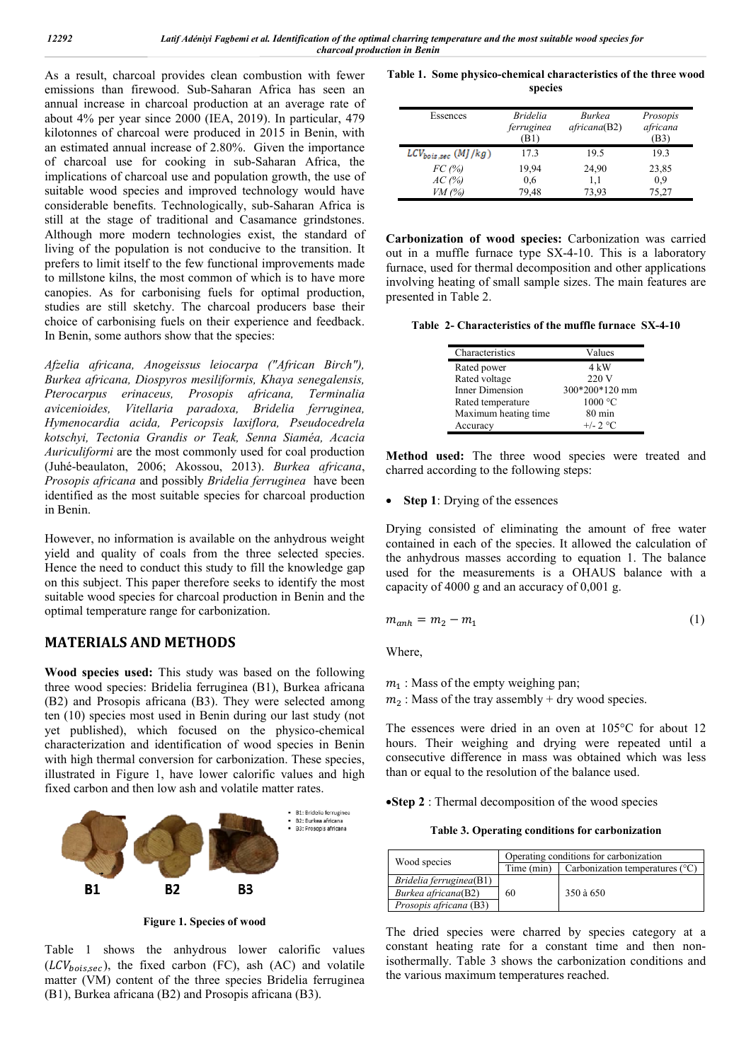As a result, charcoal provides clean combustion with fewer emissions than firewood. Sub-Saharan Africa has seen an annual increase in charcoal production at an average rate of about 4% per year since 2000 (IEA, 2019). In particular, 479 kilotonnes of charcoal were produced in 2015 in Benin, with an estimated annual increase of 2.80%. Given the importance of charcoal use for cooking in sub-Saharan Africa, the implications of charcoal use and population growth, the use of suitable wood species and improved technology would have considerable benefits. Technologically, sub-Saharan Africa is still at the stage of traditional and Casamance grindstones. Although more modern technologies exist, the standard of living of the population is not conducive to the transition. It prefers to limit itself to the few functional improvements made to millstone kilns, the most common of which is to have more canopies. As for carbonising fuels for optimal production, studies are still sketchy. The charcoal producers base their choice of carbonising fuels on their experience and feedback. In Benin, some authors show that the species:

*Afzelia africana, Anogeissus leiocarpa ("African Birch"), Burkea africana, Diospyros mesiliformis, Khaya senegalensis, Pterocarpus erinaceus, Prosopis africana, Terminalia avicenioides, Vitellaria paradoxa, Bridelia ferruginea, Hymenocardia acida, Pericopsis laxiflora, Pseudocedrela kotschyi, Tectonia Grandis or Teak, Senna Siaméa, Acacia Auriculiformi* are the most commonly used for coal production (Juhé-beaulaton, 2006; Akossou, 2013). *Burkea africana*, *Prosopis africana* and possibly *Bridelia ferruginea* have been identified as the most suitable species for charcoal production in Benin.

However, no information is available on the anhydrous weight yield and quality of coals from the three selected species. Hence the need to conduct this study to fill the knowledge gap on this subject. This paper therefore seeks to identify the most suitable wood species for charcoal production in Benin and the optimal temperature range for carbonization.

## **MATERIALS AND METHODS**

**Wood species used:** This study was based on the following three wood species: Bridelia ferruginea (B1), Burkea africana (B2) and Prosopis africana (B3). They were selected among ten (10) species most used in Benin during our last study (not yet published), which focused on the physico-chemical characterization and identification of wood species in Benin with high thermal conversion for carbonization. These species, illustrated in Figure 1, have lower calorific values and high fixed carbon and then low ash and volatile matter rates.



**Figure 1. Species of wood**

Table 1 shows the anhydrous lower calorific values  $(LCV<sub>hois sec</sub>)$ , the fixed carbon (FC), ash (AC) and volatile matter (VM) content of the three species Bridelia ferruginea (B1), Burkea africana (B2) and Prosopis africana (B3).

**Table 1. Some physico-chemical characteristics of the three wood species**

| Essences                 | <i>Bridelia</i><br>ferruginea<br>(B1) | Burkea<br>a fricana(B2) | Prosopis<br>africana<br>(B3) |
|--------------------------|---------------------------------------|-------------------------|------------------------------|
| $LCV_{bois,sec}$ (MJ/kg) | 17.3                                  | 19.5                    | 19.3                         |
| FC(%)                    | 19,94                                 | 24,90                   | 23,85                        |
| AC(%)                    | 0,6                                   | 1.1                     | 0,9                          |
| $VM$ (%)                 | 79.48                                 | 73,93                   | 75.27                        |

**Carbonization of wood species:** Carbonization was carried out in a muffle furnace type SX-4-10. This is a laboratory furnace, used for thermal decomposition and other applications involving heating of small sample sizes. The main features are presented in Table 2.

**Table 2- Characteristics of the muffle furnace SX-4-10**

| Characteristics      | Values           |  |  |
|----------------------|------------------|--|--|
| Rated power          | 4 kW             |  |  |
| Rated voltage        | 220 V            |  |  |
| Inner Dimension      | 300*200*120 mm   |  |  |
| Rated temperature    | 1000 °C          |  |  |
| Maximum heating time | $80 \text{ min}$ |  |  |
| Accuracy             | $+/- 2 °C$       |  |  |

**Method used:** The three wood species were treated and charred according to the following steps:

• **Step 1**: Drying of the essences

Drying consisted of eliminating the amount of free water contained in each of the species. It allowed the calculation of the anhydrous masses according to equation 1. The balance used for the measurements is a OHAUS balance with a capacity of 4000 g and an accuracy of  $0.001$  g.

$$
m_{anh} = m_2 - m_1 \tag{1}
$$

Where,

- $m_1$ : Mass of the empty weighing pan;
- $m<sub>2</sub>$ : Mass of the tray assembly + dry wood species.

The essences were dried in an oven at 105°C for about 12 hours. Their weighing and drying were repeated until a consecutive difference in mass was obtained which was less than or equal to the resolution of the balance used.

**Step 2** : Thermal decomposition of the wood species

**Table 3. Operating conditions for carbonization**

|                         | Operating conditions for carbonization |                                          |  |
|-------------------------|----------------------------------------|------------------------------------------|--|
| Wood species            | Time (min)                             | Carbonization temperatures $(^{\circ}C)$ |  |
| Bridelia ferruginea(B1) |                                        |                                          |  |
| Burkea africana(B2)     | 60                                     | 350 à 650                                |  |
| Prosopis africana (B3)  |                                        |                                          |  |

The dried species were charred by species category at a constant heating rate for a constant time and then nonisothermally. Table 3 shows the carbonization conditions and the various maximum temperatures reached.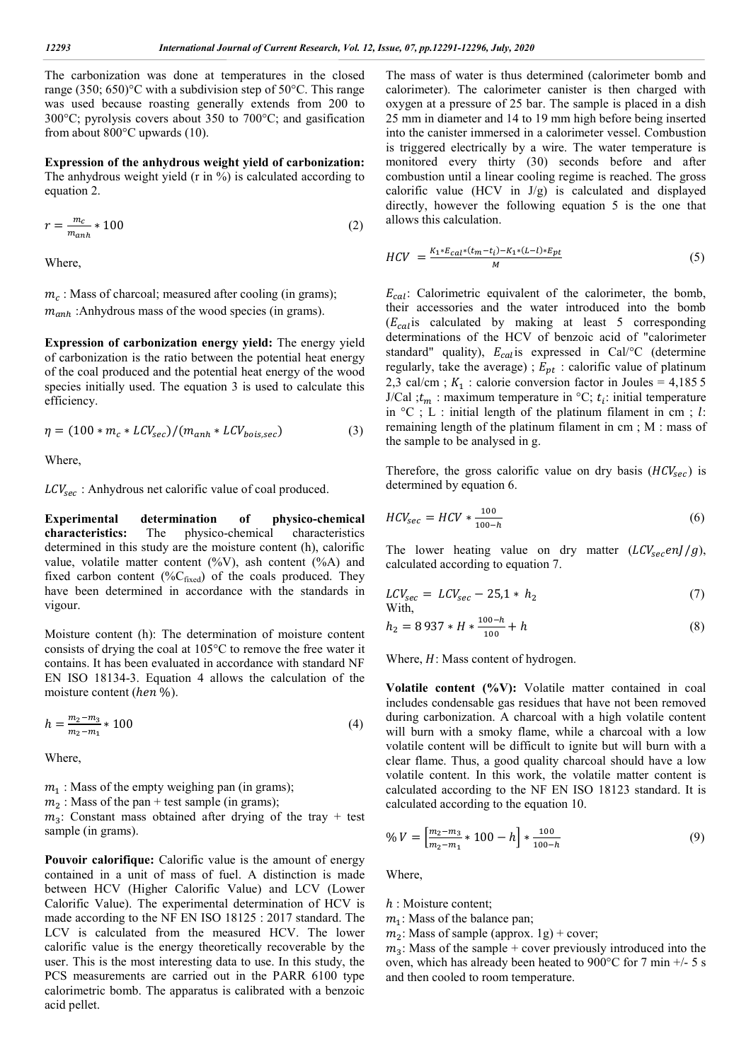The carbonization was done at temperatures in the closed range (350; 650)°C with a subdivision step of 50°C. This range was used because roasting generally extends from 200 to 300°C; pyrolysis covers about 350 to 700°C; and gasification from about 800°C upwards (10).

**Expression of the anhydrous weight yield of carbonization:**  The anhydrous weight yield (r in %) is calculated according to equation 2.

$$
r = \frac{m_c}{m_{anh}} \cdot 100\tag{2}
$$

Where,

 $m_c$ : Mass of charcoal; measured after cooling (in grams);  $m_{anh}$ : Anhydrous mass of the wood species (in grams).

**Expression of carbonization energy yield:** The energy yield of carbonization is the ratio between the potential heat energy of the coal produced and the potential heat energy of the wood species initially used. The equation 3 is used to calculate this efficiency.

$$
\eta = (100 * m_c * LCV_{sec})/(m_{anh} * LCV_{bois,sec})
$$
\n(3)

Where,

 $LCV_{sec}$ : Anhydrous net calorific value of coal produced.

**Experimental determination of physico-chemical characteristics:** The physico-chemical characteristics determined in this study are the moisture content (h), calorific value, volatile matter content  $(^{0}_{0}V)$ , ash content  $(^{0}_{0}A)$  and fixed carbon content (% $C_{fixed}$ ) of the coals produced. They have been determined in accordance with the standards in vigour.

Moisture content (h): The determination of moisture content consists of drying the coal at 105°C to remove the free water it contains. It has been evaluated in accordance with standard NF EN ISO 18134-3. Equation 4 allows the calculation of the moisture content (hen %).

$$
h = \frac{m_2 - m_3}{m_2 - m_1} \times 100\tag{4}
$$

Where,

 $m<sub>1</sub>$ : Mass of the empty weighing pan (in grams);  $m<sub>2</sub>$ : Mass of the pan + test sample (in grams);

 $m_3$ : Constant mass obtained after drying of the tray + test sample (in grams).

**Pouvoir calorifique:** Calorific value is the amount of energy contained in a unit of mass of fuel. A distinction is made between HCV (Higher Calorific Value) and LCV (Lower Calorific Value). The experimental determination of HCV is made according to the NF EN ISO 18125 : 2017 standard. The LCV is calculated from the measured HCV. The lower calorific value is the energy theoretically recoverable by the user. This is the most interesting data to use. In this study, the PCS measurements are carried out in the PARR 6100 type calorimetric bomb. The apparatus is calibrated with a benzoic acid pellet.

The mass of water is thus determined (calorimeter bomb and calorimeter). The calorimeter canister is then charged with oxygen at a pressure of 25 bar. The sample is placed in a dish 25 mm in diameter and 14 to 19 mm high before being inserted into the canister immersed in a calorimeter vessel. Combustion is triggered electrically by a wire. The water temperature is monitored every thirty (30) seconds before and after combustion until a linear cooling regime is reached. The gross calorific value (HCV in  $J/g$ ) is calculated and displayed directly, however the following equation 5 is the one that allows this calculation.

$$
HCV = \frac{K_1 * E_{cal} * (t_m - t_i) - K_1 * (L - l) * E_{pt}}{M}
$$
\n(5)

 $E_{cal}$ : Calorimetric equivalent of the calorimeter, the bomb, their accessories and the water introduced into the bomb  $(E_{cal}$  is calculated by making at least 5 corresponding determinations of the HCV of benzoic acid of "calorimeter standard" quality),  $E_{cal}$  is expressed in Cal/°C (determine regularly, take the average) ;  $E_{pt}$  : calorific value of platinum 2,3 cal/cm ;  $K_1$  : calorie conversion factor in Joules = 4,1855 J/Cal ; $t_m$ : maximum temperature in °C;  $t_i$ : initial temperature in  ${}^{\circ}C$ ; L : initial length of the platinum filament in cm; l: remaining length of the platinum filament in cm ; M : mass of the sample to be analysed in g.

Therefore, the gross calorific value on dry basis  $(HCV<sub>sec</sub>)$  is determined by equation 6.

$$
HCV_{sec} = HCV * \frac{100}{100 - h}
$$
 (6)

The lower heating value on dry matter  $(LCV_{sec}enJ/g)$ , calculated according to equation 7.

$$
LCV_{sec} = LCV_{sec} - 25.1 * h_2
$$
  
With, (7)

$$
h_2 = 8\,937 * H * \frac{100 - h}{100} + h\tag{8}
$$

Where,  $H$ : Mass content of hydrogen.

**Volatile content (%V):** Volatile matter contained in coal includes condensable gas residues that have not been removed during carbonization. A charcoal with a high volatile content will burn with a smoky flame, while a charcoal with a low volatile content will be difficult to ignite but will burn with a clear flame. Thus, a good quality charcoal should have a low volatile content. In this work, the volatile matter content is calculated according to the NF EN ISO 18123 standard. It is calculated according to the equation 10.

$$
\% V = \left[ \frac{m_2 - m_3}{m_2 - m_1} * 100 - h \right] * \frac{100}{100 - h} \tag{9}
$$

Where,

h : Moisture content;

 $m<sub>1</sub>$ : Mass of the balance pan;

 $m_2$ : Mass of sample (approx. 1g) + cover;

 $m<sub>3</sub>$ : Mass of the sample + cover previously introduced into the oven, which has already been heated to 900°C for 7 min +/- 5 s and then cooled to room temperature.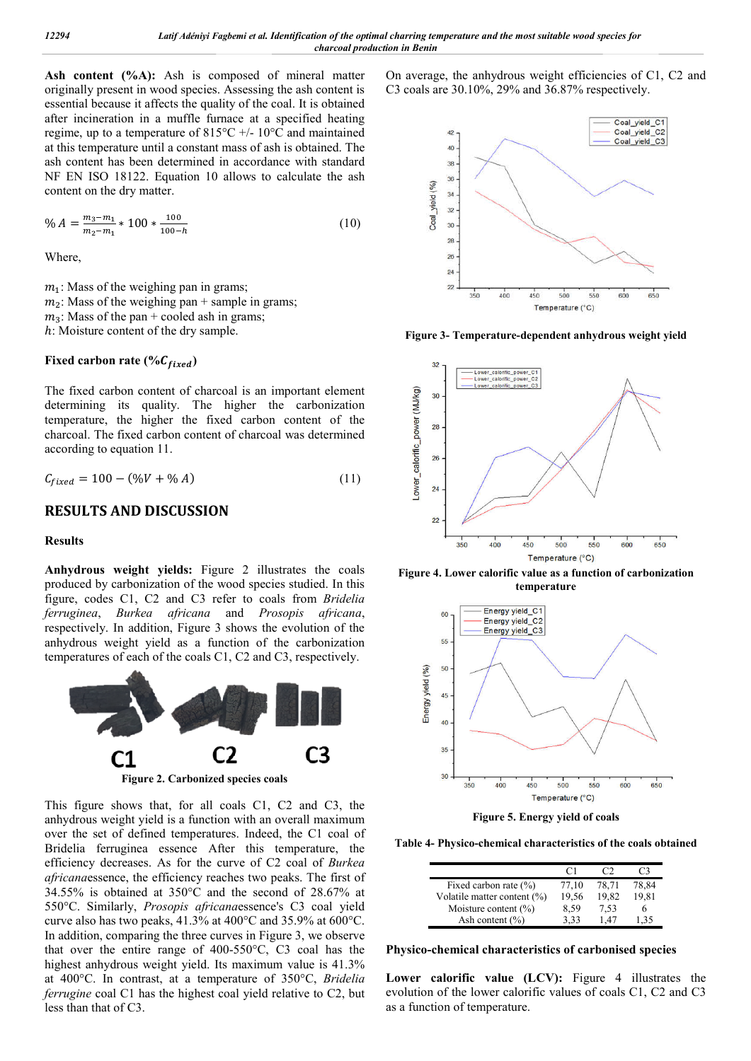Ash content (%A): Ash is composed of mineral matter originally present in wood species. Assessing the ash content is essential because it affects the quality of the coal. It is obtained after incineration in a muffle furnace at a specified heating regime, up to a temperature of 815°C +/- 10°C and maintained at this temperature until a constant mass of ash is obtained. The ash content has been determined in accordance with standard NF EN ISO 18122. Equation 10 allows to calculate the ash content on the dry matter.

$$
\% A = \frac{m_3 - m_1}{m_2 - m_1} \times 100 \times \frac{100}{100 - h} \tag{10}
$$

Where,

 $m<sub>1</sub>$ : Mass of the weighing pan in grams;  $m_2$ : Mass of the weighing pan + sample in grams;  $m_3$ : Mass of the pan + cooled ash in grams; ℎ: Moisture content of the dry sample.

## Fixed carbon rate (% $C_{fixed}$ )

The fixed carbon content of charcoal is an important element determining its quality. The higher the carbonization temperature, the higher the fixed carbon content of the charcoal. The fixed carbon content of charcoal was determined according to equation 11.

$$
C_{fixed} = 100 - (\%V + \% A)
$$
 (11)

### **RESULTS AND DISCUSSION**

#### **Results**

**Anhydrous weight yields:** Figure 2 illustrates the coals produced by carbonization of the wood species studied. In this figure, codes C1, C2 and C3 refer to coals from *Bridelia ferruginea*, *Burkea africana* and *Prosopis africana*, respectively. In addition, Figure 3 shows the evolution of the anhydrous weight yield as a function of the carbonization temperatures of each of the coals C1, C2 and C3, respectively.



This figure shows that, for all coals C1, C2 and C3, the anhydrous weight yield is a function with an overall maximum over the set of defined temperatures. Indeed, the C1 coal of Bridelia ferruginea essence After this temperature, the efficiency decreases. As for the curve of C2 coal of *Burkea africana*essence, the efficiency reaches two peaks. The first of 34.55% is obtained at 350°C and the second of 28.67% at 550°C. Similarly, *Prosopis africana*essence's C3 coal yield curve also has two peaks, 41.3% at 400°C and 35.9% at 600°C. In addition, comparing the three curves in Figure 3, we observe that over the entire range of 400-550°C, C3 coal has the highest anhydrous weight yield. Its maximum value is 41.3% at 400°C. In contrast, at a temperature of 350°C, *Bridelia ferrugine* coal C1 has the highest coal yield relative to C2, but less than that of C3.

On average, the anhydrous weight efficiencies of C1, C2 and C3 coals are 30.10%, 29% and 36.87% respectively.



**Figure 3- Temperature-dependent anhydrous weight yield**



**Figure 4. Lower calorific value as a function of carbonization temperature**



**Figure 5. Energy yield of coals**

**Table 4- Physico-chemical characteristics of the coals obtained**

|                             | $\mathfrak{c}$ 1 |       | C <sub>3</sub> |
|-----------------------------|------------------|-------|----------------|
| Fixed carbon rate $(\% )$   | 77.10            | 78.71 | 78.84          |
| Volatile matter content (%) | 19,56            | 19.82 | 19.81          |
| Moisture content $(\%)$     | 8.59             | 7.53  | h              |
| Ash content $(\% )$         | 3.33             | 1.47  | 1.35           |

**Physico-chemical characteristics of carbonised species**

**Lower calorific value (LCV):** Figure 4 illustrates the evolution of the lower calorific values of coals C1, C2 and C3 as a function of temperature.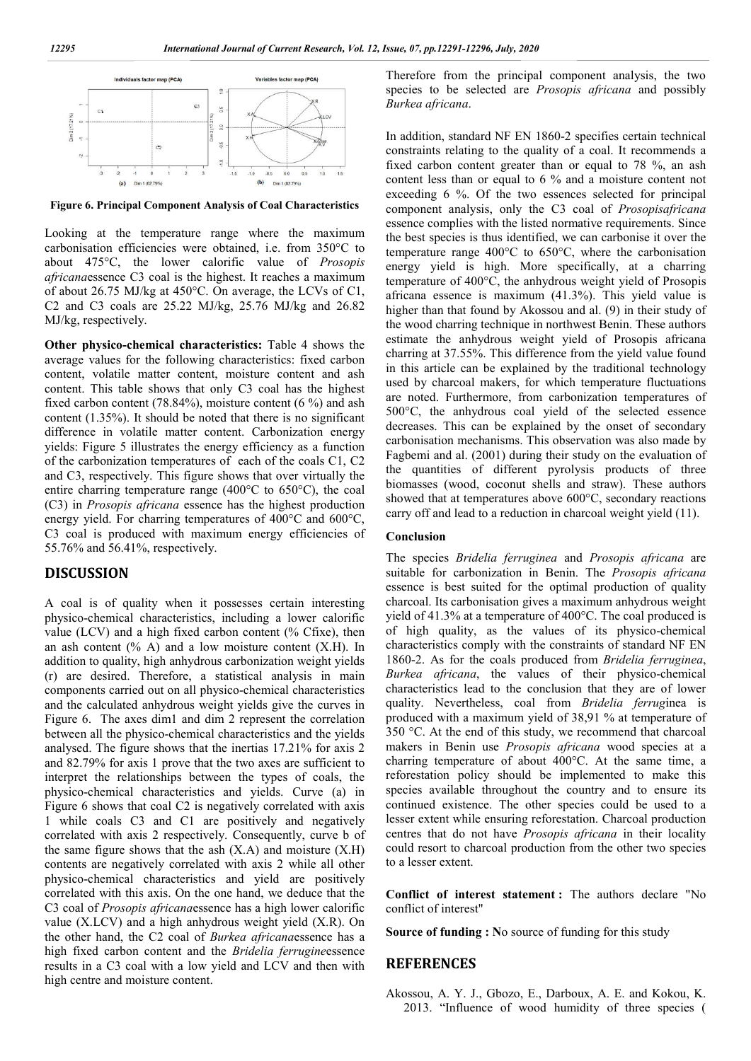

**Figure 6. Principal Component Analysis of Coal Characteristics**

Looking at the temperature range where the maximum carbonisation efficiencies were obtained, i.e. from 350°C to about 475°C, the lower calorific value of *Prosopis africana*essence C3 coal is the highest. It reaches a maximum of about 26.75 MJ/kg at 450°C. On average, the LCVs of C1, C2 and C3 coals are 25.22 MJ/kg, 25.76 MJ/kg and 26.82 MJ/kg, respectively.

**Other physico-chemical characteristics:** Table 4 shows the average values for the following characteristics: fixed carbon content, volatile matter content, moisture content and ash content. This table shows that only C3 coal has the highest fixed carbon content (78.84%), moisture content (6 %) and ash content (1.35%). It should be noted that there is no significant difference in volatile matter content. Carbonization energy yields: Figure 5 illustrates the energy efficiency as a function of the carbonization temperatures of each of the coals C1, C2 and C3, respectively. This figure shows that over virtually the entire charring temperature range (400°C to 650°C), the coal (C3) in *Prosopis africana* essence has the highest production energy yield. For charring temperatures of 400°C and 600°C, C3 coal is produced with maximum energy efficiencies of 55.76% and 56.41%, respectively.

### **DISCUSSION**

A coal is of quality when it possesses certain interesting physico-chemical characteristics, including a lower calorific value (LCV) and a high fixed carbon content (% Cfixe), then an ash content  $(\% A)$  and a low moisture content  $(X.H)$ . In addition to quality, high anhydrous carbonization weight yields (r) are desired. Therefore, a statistical analysis in main components carried out on all physico-chemical characteristics and the calculated anhydrous weight yields give the curves in Figure 6. The axes dim1 and dim 2 represent the correlation between all the physico-chemical characteristics and the yields analysed. The figure shows that the inertias 17.21% for axis 2 and 82.79% for axis 1 prove that the two axes are sufficient to interpret the relationships between the types of coals, the physico-chemical characteristics and yields. Curve (a) in Figure 6 shows that coal C2 is negatively correlated with axis 1 while coals C3 and C1 are positively and negatively correlated with axis 2 respectively. Consequently, curve b of the same figure shows that the ash  $(X.A)$  and moisture  $(X.H)$ contents are negatively correlated with axis 2 while all other physico-chemical characteristics and yield are positively correlated with this axis. On the one hand, we deduce that the C3 coal of *Prosopis africana*essence has a high lower calorific value (X.LCV) and a high anhydrous weight yield (X.R). On the other hand, the C2 coal of *Burkea africana*essence has a high fixed carbon content and the *Bridelia ferrugine*essence results in a C3 coal with a low yield and LCV and then with high centre and moisture content.

Therefore from the principal component analysis, the two species to be selected are *Prosopis africana* and possibly *Burkea africana*.

In addition, standard NF EN 1860-2 specifies certain technical constraints relating to the quality of a coal. It recommends a fixed carbon content greater than or equal to 78 %, an ash content less than or equal to 6 % and a moisture content not exceeding 6 %. Of the two essences selected for principal component analysis, only the C3 coal of *Prosopisafricana* essence complies with the listed normative requirements. Since the best species is thus identified, we can carbonise it over the temperature range 400°C to 650°C, where the carbonisation energy yield is high. More specifically, at a charring temperature of 400°C, the anhydrous weight yield of Prosopis africana essence is maximum (41.3%). This yield value is higher than that found by Akossou and al. (9) in their study of the wood charring technique in northwest Benin. These authors estimate the anhydrous weight yield of Prosopis africana charring at 37.55%. This difference from the yield value found in this article can be explained by the traditional technology used by charcoal makers, for which temperature fluctuations are noted. Furthermore, from carbonization temperatures of 500°C, the anhydrous coal yield of the selected essence decreases. This can be explained by the onset of secondary carbonisation mechanisms. This observation was also made by Fagbemi and al. (2001) during their study on the evaluation of the quantities of different pyrolysis products of three biomasses (wood, coconut shells and straw). These authors showed that at temperatures above 600°C, secondary reactions carry off and lead to a reduction in charcoal weight yield (11).

#### **Conclusion**

The species *Bridelia ferruginea* and *Prosopis africana* are suitable for carbonization in Benin. The *Prosopis africana* essence is best suited for the optimal production of quality charcoal. Its carbonisation gives a maximum anhydrous weight yield of 41.3% at a temperature of 400°C. The coal produced is of high quality, as the values of its physico-chemical characteristics comply with the constraints of standard NF EN 1860-2. As for the coals produced from *Bridelia ferruginea*, *Burkea africana*, the values of their physico-chemical characteristics lead to the conclusion that they are of lower quality. Nevertheless, coal from *Bridelia ferrug*inea is produced with a maximum yield of 38,91 % at temperature of 350 °C. At the end of this study, we recommend that charcoal makers in Benin use *Prosopis africana* wood species at a charring temperature of about 400°C. At the same time, a reforestation policy should be implemented to make this species available throughout the country and to ensure its continued existence. The other species could be used to a lesser extent while ensuring reforestation. Charcoal production centres that do not have *Prosopis africana* in their locality could resort to charcoal production from the other two species to a lesser extent.

**Conflict of interest statement :** The authors declare "No conflict of interest"

**Source of funding : N**o source of funding for this study

#### **REFERENCES**

Akossou, A. Y. J., Gbozo, E., Darboux, A. E. and Kokou, K. 2013. "Influence of wood humidity of three species (